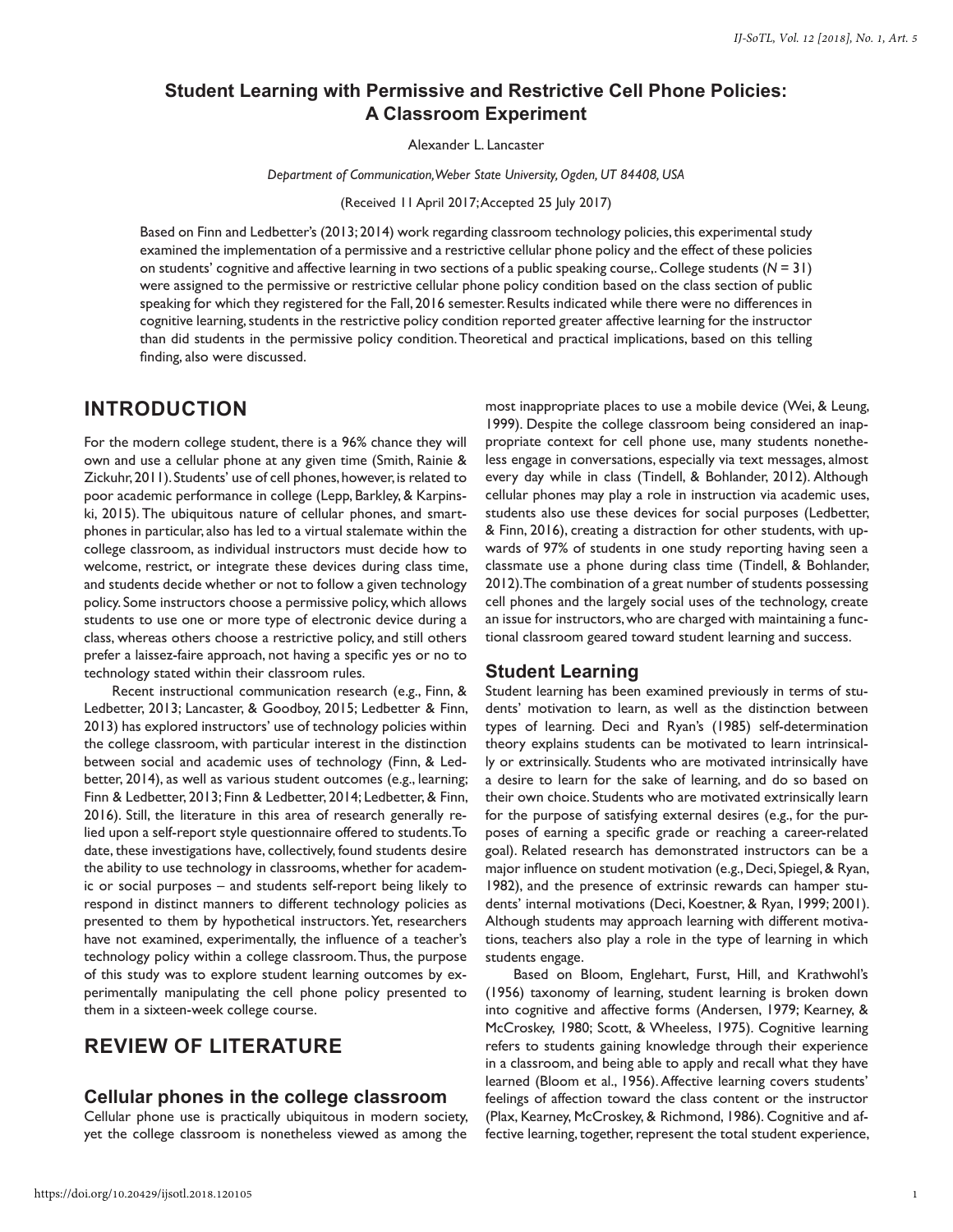## **Student Learning with Permissive and Restrictive Cell Phone Policies: A Classroom Experiment**

Alexander L. Lancaster

*Department of Communication, Weber State University, Ogden, UT 84408, USA*

(Received 11 April 2017; Accepted 25 July 2017)

Based on Finn and Ledbetter's (2013; 2014) work regarding classroom technology policies, this experimental study examined the implementation of a permissive and a restrictive cellular phone policy and the effect of these policies on students' cognitive and affective learning in two sections of a public speaking course,. College students (*N* = 31) were assigned to the permissive or restrictive cellular phone policy condition based on the class section of public speaking for which they registered for the Fall, 2016 semester. Results indicated while there were no differences in cognitive learning, students in the restrictive policy condition reported greater affective learning for the instructor than did students in the permissive policy condition. Theoretical and practical implications, based on this telling finding, also were discussed.

# **INTRODUCTION**

For the modern college student, there is a 96% chance they will own and use a cellular phone at any given time (Smith, Rainie & Zickuhr, 2011). Students' use of cell phones, however, is related to poor academic performance in college (Lepp, Barkley, & Karpinski, 2015). The ubiquitous nature of cellular phones, and smartphones in particular, also has led to a virtual stalemate within the college classroom, as individual instructors must decide how to welcome, restrict, or integrate these devices during class time, and students decide whether or not to follow a given technology policy. Some instructors choose a permissive policy, which allows students to use one or more type of electronic device during a class, whereas others choose a restrictive policy, and still others prefer a laissez-faire approach, not having a specific yes or no to technology stated within their classroom rules.

Recent instructional communication research (e.g., Finn, & Ledbetter, 2013; Lancaster, & Goodboy, 2015; Ledbetter & Finn, 2013) has explored instructors' use of technology policies within the college classroom, with particular interest in the distinction between social and academic uses of technology (Finn, & Ledbetter, 2014), as well as various student outcomes (e.g., learning; Finn & Ledbetter, 2013; Finn & Ledbetter, 2014; Ledbetter, & Finn, 2016). Still, the literature in this area of research generally relied upon a self-report style questionnaire offered to students. To date, these investigations have, collectively, found students desire the ability to use technology in classrooms, whether for academic or social purposes – and students self-report being likely to respond in distinct manners to different technology policies as presented to them by hypothetical instructors. Yet, researchers have not examined, experimentally, the influence of a teacher's technology policy within a college classroom. Thus, the purpose of this study was to explore student learning outcomes by experimentally manipulating the cell phone policy presented to them in a sixteen-week college course.

# **REVIEW OF LITERATURE**

#### **Cellular phones in the college classroom**

Cellular phone use is practically ubiquitous in modern society, yet the college classroom is nonetheless viewed as among the

most inappropriate places to use a mobile device (Wei, & Leung, 1999). Despite the college classroom being considered an inappropriate context for cell phone use, many students nonetheless engage in conversations, especially via text messages, almost every day while in class (Tindell, & Bohlander, 2012). Although cellular phones may play a role in instruction via academic uses, students also use these devices for social purposes (Ledbetter, & Finn, 2016), creating a distraction for other students, with upwards of 97% of students in one study reporting having seen a classmate use a phone during class time (Tindell, & Bohlander, 2012). The combination of a great number of students possessing cell phones and the largely social uses of the technology, create an issue for instructors, who are charged with maintaining a functional classroom geared toward student learning and success.

#### **Student Learning**

Student learning has been examined previously in terms of students' motivation to learn, as well as the distinction between types of learning. Deci and Ryan's (1985) self-determination theory explains students can be motivated to learn intrinsically or extrinsically. Students who are motivated intrinsically have a desire to learn for the sake of learning, and do so based on their own choice. Students who are motivated extrinsically learn for the purpose of satisfying external desires (e.g., for the purposes of earning a specific grade or reaching a career-related goal). Related research has demonstrated instructors can be a major influence on student motivation (e.g., Deci, Spiegel, & Ryan, 1982), and the presence of extrinsic rewards can hamper students' internal motivations (Deci, Koestner, & Ryan, 1999; 2001). Although students may approach learning with different motivations, teachers also play a role in the type of learning in which students engage.

Based on Bloom, Englehart, Furst, Hill, and Krathwohl's (1956) taxonomy of learning, student learning is broken down into cognitive and affective forms (Andersen, 1979; Kearney, & McCroskey, 1980; Scott, & Wheeless, 1975). Cognitive learning refers to students gaining knowledge through their experience in a classroom, and being able to apply and recall what they have learned (Bloom et al., 1956). Affective learning covers students' feelings of affection toward the class content or the instructor (Plax, Kearney, McCroskey, & Richmond, 1986). Cognitive and affective learning, together, represent the total student experience,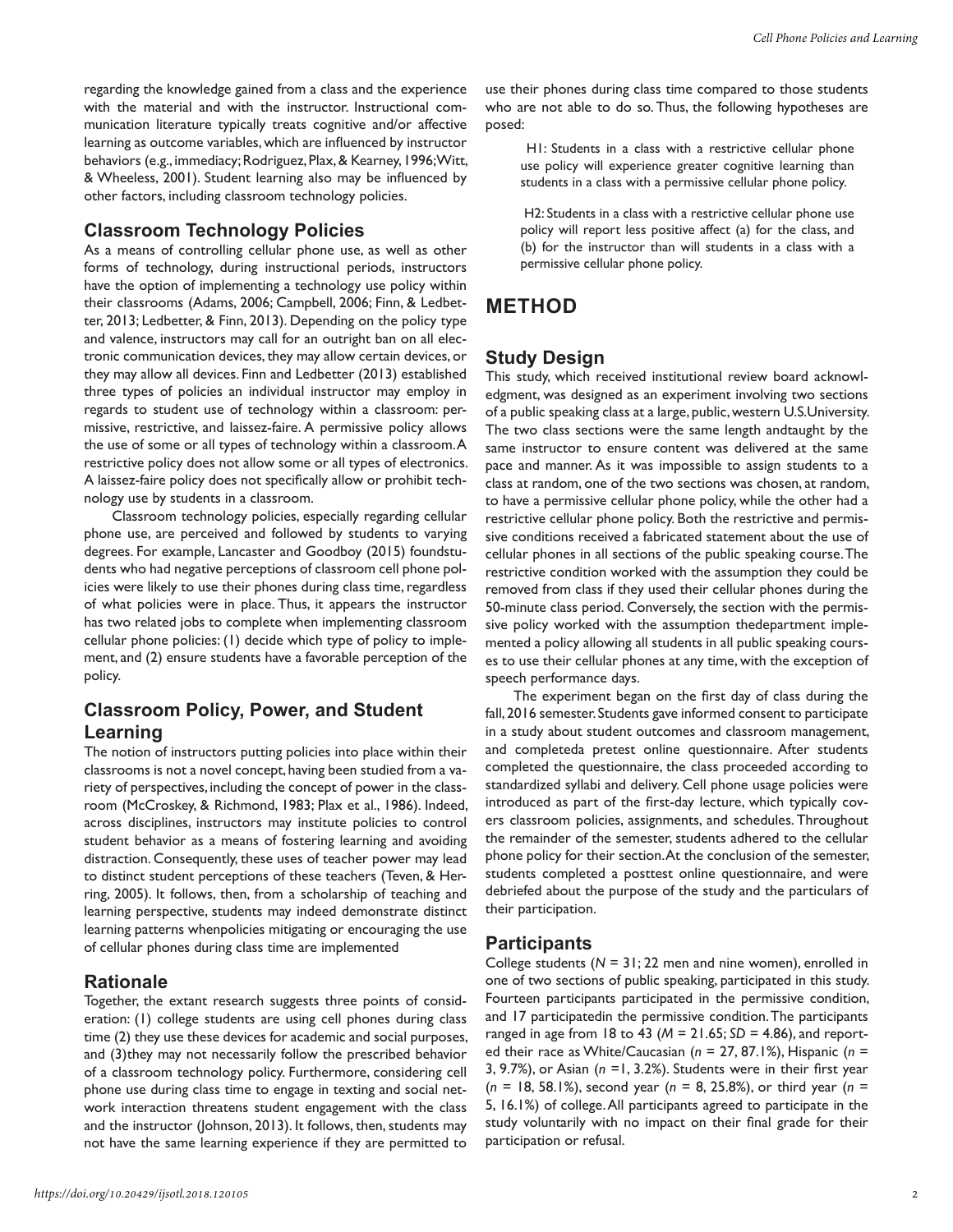regarding the knowledge gained from a class and the experience with the material and with the instructor. Instructional communication literature typically treats cognitive and/or affective learning as outcome variables, which are influenced by instructor behaviors (e.g., immediacy; Rodriguez, Plax, & Kearney, 1996; Witt, & Wheeless, 2001). Student learning also may be influenced by other factors, including classroom technology policies.

#### **Classroom Technology Policies**

As a means of controlling cellular phone use, as well as other forms of technology, during instructional periods, instructors have the option of implementing a technology use policy within their classrooms (Adams, 2006; Campbell, 2006; Finn, & Ledbetter, 2013; Ledbetter, & Finn, 2013). Depending on the policy type and valence, instructors may call for an outright ban on all electronic communication devices, they may allow certain devices, or they may allow all devices. Finn and Ledbetter (2013) established three types of policies an individual instructor may employ in regards to student use of technology within a classroom: permissive, restrictive, and laissez-faire. A permissive policy allows the use of some or all types of technology within a classroom. A restrictive policy does not allow some or all types of electronics. A laissez-faire policy does not specifically allow or prohibit technology use by students in a classroom.

Classroom technology policies, especially regarding cellular phone use, are perceived and followed by students to varying degrees. For example, Lancaster and Goodboy (2015) foundstudents who had negative perceptions of classroom cell phone policies were likely to use their phones during class time, regardless of what policies were in place. Thus, it appears the instructor has two related jobs to complete when implementing classroom cellular phone policies: (1) decide which type of policy to implement, and (2) ensure students have a favorable perception of the policy.

# **Classroom Policy, Power, and Student Learning**

The notion of instructors putting policies into place within their classrooms is not a novel concept, having been studied from a variety of perspectives, including the concept of power in the classroom (McCroskey, & Richmond, 1983; Plax et al., 1986). Indeed, across disciplines, instructors may institute policies to control student behavior as a means of fostering learning and avoiding distraction. Consequently, these uses of teacher power may lead to distinct student perceptions of these teachers (Teven, & Herring, 2005). It follows, then, from a scholarship of teaching and learning perspective, students may indeed demonstrate distinct learning patterns whenpolicies mitigating or encouraging the use of cellular phones during class time are implemented

#### **Rationale**

Together, the extant research suggests three points of consideration: (1) college students are using cell phones during class time (2) they use these devices for academic and social purposes, and (3)they may not necessarily follow the prescribed behavior of a classroom technology policy. Furthermore, considering cell phone use during class time to engage in texting and social network interaction threatens student engagement with the class and the instructor (Johnson, 2013). It follows, then, students may not have the same learning experience if they are permitted to

use their phones during class time compared to those students who are not able to do so. Thus, the following hypotheses are posed:

 H1: Students in a class with a restrictive cellular phone use policy will experience greater cognitive learning than students in a class with a permissive cellular phone policy.

 H2: Students in a class with a restrictive cellular phone use policy will report less positive affect (a) for the class, and (b) for the instructor than will students in a class with a permissive cellular phone policy.

# **METHOD**

### **Study Design**

This study, which received institutional review board acknowledgment, was designed as an experiment involving two sections of a public speaking class at a large, public, western U.S.University. The two class sections were the same length andtaught by the same instructor to ensure content was delivered at the same pace and manner. As it was impossible to assign students to a class at random, one of the two sections was chosen, at random, to have a permissive cellular phone policy, while the other had a restrictive cellular phone policy. Both the restrictive and permissive conditions received a fabricated statement about the use of cellular phones in all sections of the public speaking course. The restrictive condition worked with the assumption they could be removed from class if they used their cellular phones during the 50-minute class period. Conversely, the section with the permissive policy worked with the assumption thedepartment implemented a policy allowing all students in all public speaking courses to use their cellular phones at any time, with the exception of speech performance days.

The experiment began on the first day of class during the fall, 2016 semester. Students gave informed consent to participate in a study about student outcomes and classroom management, and completeda pretest online questionnaire. After students completed the questionnaire, the class proceeded according to standardized syllabi and delivery. Cell phone usage policies were introduced as part of the first-day lecture, which typically covers classroom policies, assignments, and schedules. Throughout the remainder of the semester, students adhered to the cellular phone policy for their section. At the conclusion of the semester, students completed a posttest online questionnaire, and were debriefed about the purpose of the study and the particulars of their participation.

### **Participants**

College students ( $N = 31$ ; 22 men and nine women), enrolled in one of two sections of public speaking, participated in this study. Fourteen participants participated in the permissive condition, and 17 participatedin the permissive condition. The participants ranged in age from 18 to 43 ( $M = 21.65$ ;  $SD = 4.86$ ), and reported their race as White/Caucasian (*n* = 27, 87.1%), Hispanic (*n* = 3, 9.7%), or Asian (*n* =1, 3.2%). Students were in their first year (*n* = 18, 58.1%), second year (*n* = 8, 25.8%), or third year (*n* = 5, 16.1%) of college. All participants agreed to participate in the study voluntarily with no impact on their final grade for their participation or refusal.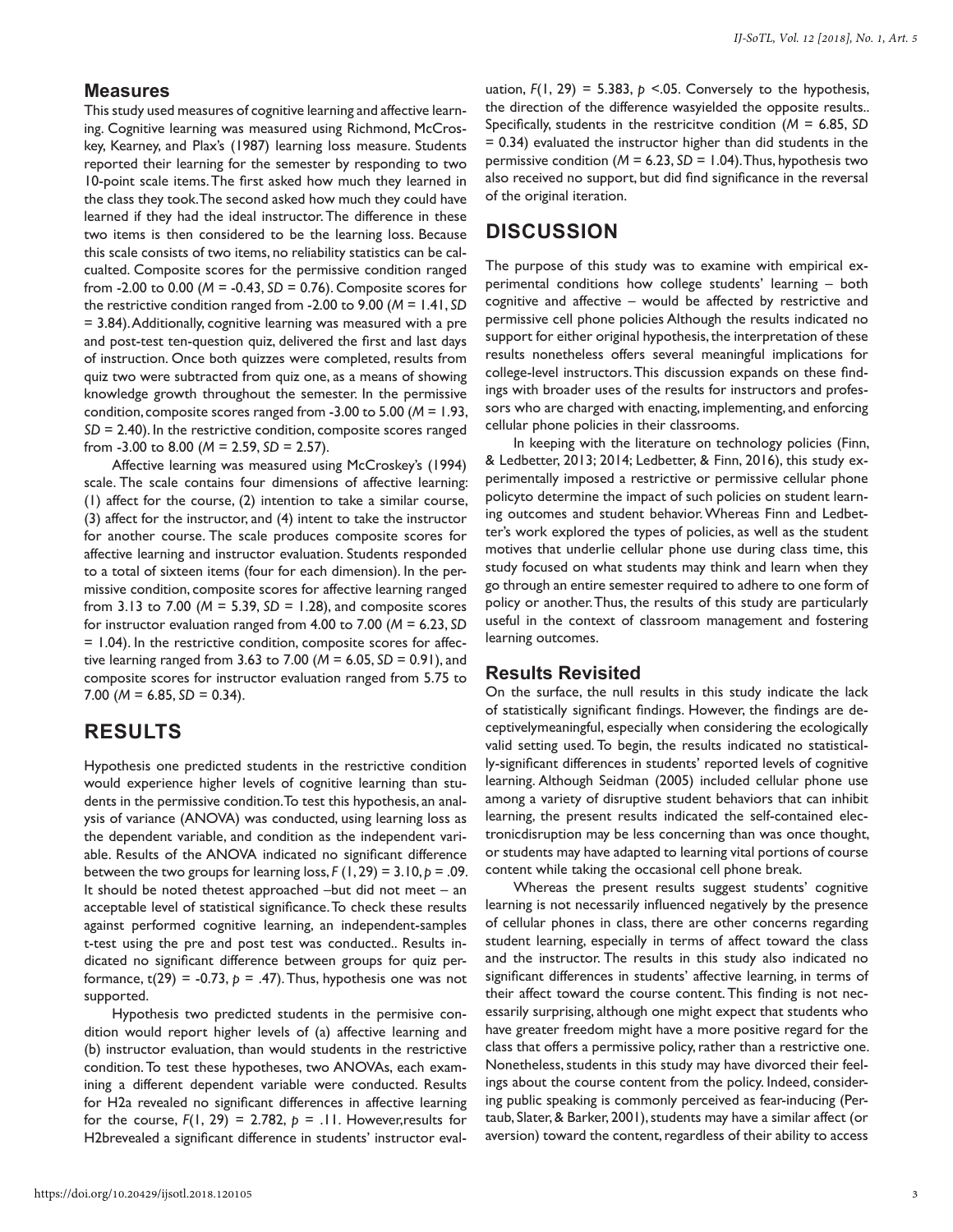#### **Measures**

This study used measures of cognitive learning and affective learning. Cognitive learning was measured using Richmond, McCroskey, Kearney, and Plax's (1987) learning loss measure. Students reported their learning for the semester by responding to two 10-point scale items. The first asked how much they learned in the class they took. The second asked how much they could have learned if they had the ideal instructor. The difference in these two items is then considered to be the learning loss. Because this scale consists of two items, no reliability statistics can be calcualted. Composite scores for the permissive condition ranged from -2.00 to 0.00 (*M* = -0.43, *SD* = 0.76). Composite scores for the restrictive condition ranged from -2.00 to 9.00 (*M* = 1.41, *SD*  = 3.84). Additionally, cognitive learning was measured with a pre and post-test ten-question quiz, delivered the first and last days of instruction. Once both quizzes were completed, results from quiz two were subtracted from quiz one, as a means of showing knowledge growth throughout the semester. In the permissive condition, composite scores ranged from -3.00 to 5.00 (*M* = 1.93, *SD* = 2.40). In the restrictive condition, composite scores ranged from -3.00 to 8.00 (*M* = 2.59, *SD* = 2.57).

Affective learning was measured using McCroskey's (1994) scale. The scale contains four dimensions of affective learning: (1) affect for the course, (2) intention to take a similar course, (3) affect for the instructor, and (4) intent to take the instructor for another course. The scale produces composite scores for affective learning and instructor evaluation. Students responded to a total of sixteen items (four for each dimension). In the permissive condition, composite scores for affective learning ranged from 3.13 to 7.00 (*M* = 5.39, *SD* = 1.28), and composite scores for instructor evaluation ranged from 4.00 to 7.00 (*M* = 6.23, *SD* = 1.04). In the restrictive condition, composite scores for affective learning ranged from 3.63 to 7.00 (*M* = 6.05, *SD* = 0.91), and composite scores for instructor evaluation ranged from 5.75 to 7.00 ( $M = 6.85$ ,  $SD = 0.34$ ).

## **RESULTS**

Hypothesis one predicted students in the restrictive condition would experience higher levels of cognitive learning than students in the permissive condition. To test this hypothesis, an analysis of variance (ANOVA) was conducted, using learning loss as the dependent variable, and condition as the independent variable. Results of the ANOVA indicated no significant difference between the two groups for learning loss,  $F(1, 29) = 3.10$ ,  $p = .09$ . It should be noted thetest approached –but did not meet – an acceptable level of statistical significance. To check these results against performed cognitive learning, an independent-samples t-test using the pre and post test was conducted.. Results indicated no significant difference between groups for quiz performance,  $t(29) = -0.73$ ,  $p = .47$ ). Thus, hypothesis one was not supported.

Hypothesis two predicted students in the permisive condition would report higher levels of (a) affective learning and (b) instructor evaluation, than would students in the restrictive condition. To test these hypotheses, two ANOVAs, each examining a different dependent variable were conducted. Results for H2a revealed no significant differences in affective learning for the course,  $F(1, 29) = 2.782$ ,  $p = 11$ . However, results for H2brevealed a significant difference in students' instructor eval-

uation,  $F(1, 29) = 5.383$ ,  $p \le 0.05$ . Conversely to the hypothesis, the direction of the difference wasyielded the opposite results.. Specifically, students in the restricitve condition (*M* = 6.85, *SD*  = 0.34) evaluated the instructor higher than did students in the permissive condition (*M* = 6.23, *SD* = 1.04). Thus, hypothesis two also received no support, but did find significance in the reversal of the original iteration.

## **DISCUSSION**

The purpose of this study was to examine with empirical experimental conditions how college students' learning – both cognitive and affective – would be affected by restrictive and permissive cell phone policies Although the results indicated no support for either original hypothesis, the interpretation of these results nonetheless offers several meaningful implications for college-level instructors. This discussion expands on these findings with broader uses of the results for instructors and professors who are charged with enacting, implementing, and enforcing cellular phone policies in their classrooms.

In keeping with the literature on technology policies (Finn, & Ledbetter, 2013; 2014; Ledbetter, & Finn, 2016), this study experimentally imposed a restrictive or permissive cellular phone policyto determine the impact of such policies on student learning outcomes and student behavior. Whereas Finn and Ledbetter's work explored the types of policies, as well as the student motives that underlie cellular phone use during class time, this study focused on what students may think and learn when they go through an entire semester required to adhere to one form of policy or another. Thus, the results of this study are particularly useful in the context of classroom management and fostering learning outcomes.

#### **Results Revisited**

On the surface, the null results in this study indicate the lack of statistically significant findings. However, the findings are deceptivelymeaningful, especially when considering the ecologically valid setting used. To begin, the results indicated no statistically-significant differences in students' reported levels of cognitive learning. Although Seidman (2005) included cellular phone use among a variety of disruptive student behaviors that can inhibit learning, the present results indicated the self-contained electronicdisruption may be less concerning than was once thought, or students may have adapted to learning vital portions of course content while taking the occasional cell phone break.

Whereas the present results suggest students' cognitive learning is not necessarily influenced negatively by the presence of cellular phones in class, there are other concerns regarding student learning, especially in terms of affect toward the class and the instructor. The results in this study also indicated no significant differences in students' affective learning, in terms of their affect toward the course content. This finding is not necessarily surprising, although one might expect that students who have greater freedom might have a more positive regard for the class that offers a permissive policy, rather than a restrictive one. Nonetheless, students in this study may have divorced their feelings about the course content from the policy. Indeed, considering public speaking is commonly perceived as fear-inducing (Pertaub, Slater, & Barker, 2001), students may have a similar affect (or aversion) toward the content, regardless of their ability to access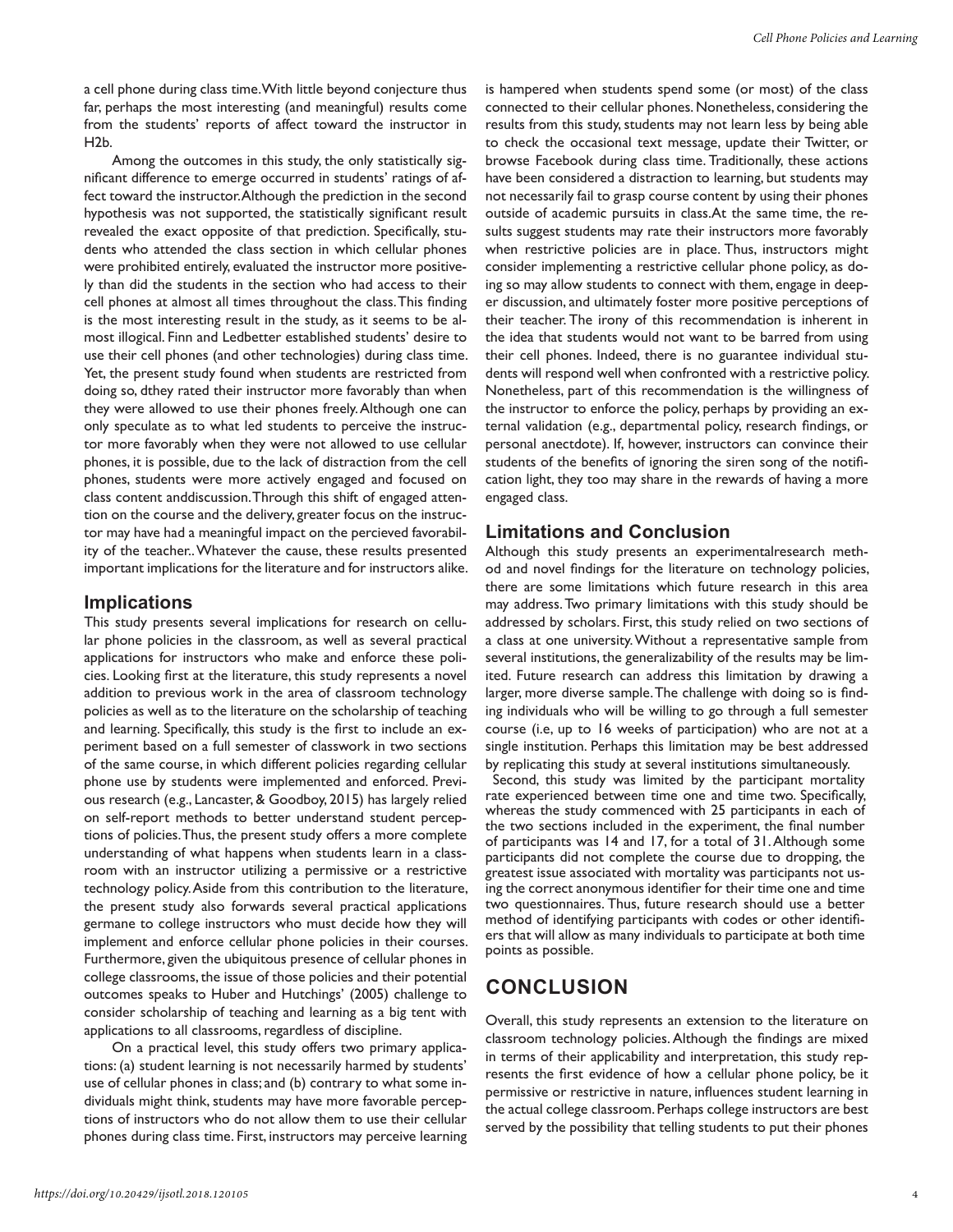a cell phone during class time. With little beyond conjecture thus far, perhaps the most interesting (and meaningful) results come from the students' reports of affect toward the instructor in H2b.

Among the outcomes in this study, the only statistically significant difference to emerge occurred in students' ratings of affect toward the instructor. Although the prediction in the second hypothesis was not supported, the statistically significant result revealed the exact opposite of that prediction. Specifically, students who attended the class section in which cellular phones were prohibited entirely, evaluated the instructor more positively than did the students in the section who had access to their cell phones at almost all times throughout the class. This finding is the most interesting result in the study, as it seems to be almost illogical. Finn and Ledbetter established students' desire to use their cell phones (and other technologies) during class time. Yet, the present study found when students are restricted from doing so, dthey rated their instructor more favorably than when they were allowed to use their phones freely. Although one can only speculate as to what led students to perceive the instructor more favorably when they were not allowed to use cellular phones, it is possible, due to the lack of distraction from the cell phones, students were more actively engaged and focused on class content anddiscussion. Through this shift of engaged attention on the course and the delivery, greater focus on the instructor may have had a meaningful impact on the percieved favorability of the teacher.. Whatever the cause, these results presented important implications for the literature and for instructors alike.

### **Implications**

This study presents several implications for research on cellular phone policies in the classroom, as well as several practical applications for instructors who make and enforce these policies. Looking first at the literature, this study represents a novel addition to previous work in the area of classroom technology policies as well as to the literature on the scholarship of teaching and learning. Specifically, this study is the first to include an experiment based on a full semester of classwork in two sections of the same course, in which different policies regarding cellular phone use by students were implemented and enforced. Previous research (e.g., Lancaster, & Goodboy, 2015) has largely relied on self-report methods to better understand student perceptions of policies. Thus, the present study offers a more complete understanding of what happens when students learn in a classroom with an instructor utilizing a permissive or a restrictive technology policy. Aside from this contribution to the literature, the present study also forwards several practical applications germane to college instructors who must decide how they will implement and enforce cellular phone policies in their courses. Furthermore, given the ubiquitous presence of cellular phones in college classrooms, the issue of those policies and their potential outcomes speaks to Huber and Hutchings' (2005) challenge to consider scholarship of teaching and learning as a big tent with applications to all classrooms, regardless of discipline.

On a practical level, this study offers two primary applications: (a) student learning is not necessarily harmed by students' use of cellular phones in class; and (b) contrary to what some individuals might think, students may have more favorable perceptions of instructors who do not allow them to use their cellular phones during class time. First, instructors may perceive learning is hampered when students spend some (or most) of the class connected to their cellular phones. Nonetheless, considering the results from this study, students may not learn less by being able to check the occasional text message, update their Twitter, or browse Facebook during class time. Traditionally, these actions have been considered a distraction to learning, but students may not necessarily fail to grasp course content by using their phones outside of academic pursuits in class.At the same time, the results suggest students may rate their instructors more favorably when restrictive policies are in place. Thus, instructors might consider implementing a restrictive cellular phone policy, as doing so may allow students to connect with them, engage in deeper discussion, and ultimately foster more positive perceptions of their teacher. The irony of this recommendation is inherent in the idea that students would not want to be barred from using their cell phones. Indeed, there is no guarantee individual students will respond well when confronted with a restrictive policy. Nonetheless, part of this recommendation is the willingness of the instructor to enforce the policy, perhaps by providing an external validation (e.g., departmental policy, research findings, or personal anectdote). If, however, instructors can convince their students of the benefits of ignoring the siren song of the notification light, they too may share in the rewards of having a more engaged class.

### **Limitations and Conclusion**

Although this study presents an experimentalresearch method and novel findings for the literature on technology policies, there are some limitations which future research in this area may address. Two primary limitations with this study should be addressed by scholars. First, this study relied on two sections of a class at one university. Without a representative sample from several institutions, the generalizability of the results may be limited. Future research can address this limitation by drawing a larger, more diverse sample. The challenge with doing so is finding individuals who will be willing to go through a full semester course (i.e, up to 16 weeks of participation) who are not at a single institution. Perhaps this limitation may be best addressed by replicating this study at several institutions simultaneously.

 Second, this study was limited by the participant mortality rate experienced between time one and time two. Specifically, whereas the study commenced with 25 participants in each of the two sections included in the experiment, the final number of participants was 14 and 17, for a total of 31. Although some participants did not complete the course due to dropping, the greatest issue associated with mortality was participants not using the correct anonymous identifier for their time one and time two questionnaires. Thus, future research should use a better method of identifying participants with codes or other identifiers that will allow as many individuals to participate at both time points as possible.

# **CONCLUSION**

Overall, this study represents an extension to the literature on classroom technology policies. Although the findings are mixed in terms of their applicability and interpretation, this study represents the first evidence of how a cellular phone policy, be it permissive or restrictive in nature, influences student learning in the actual college classroom. Perhaps college instructors are best served by the possibility that telling students to put their phones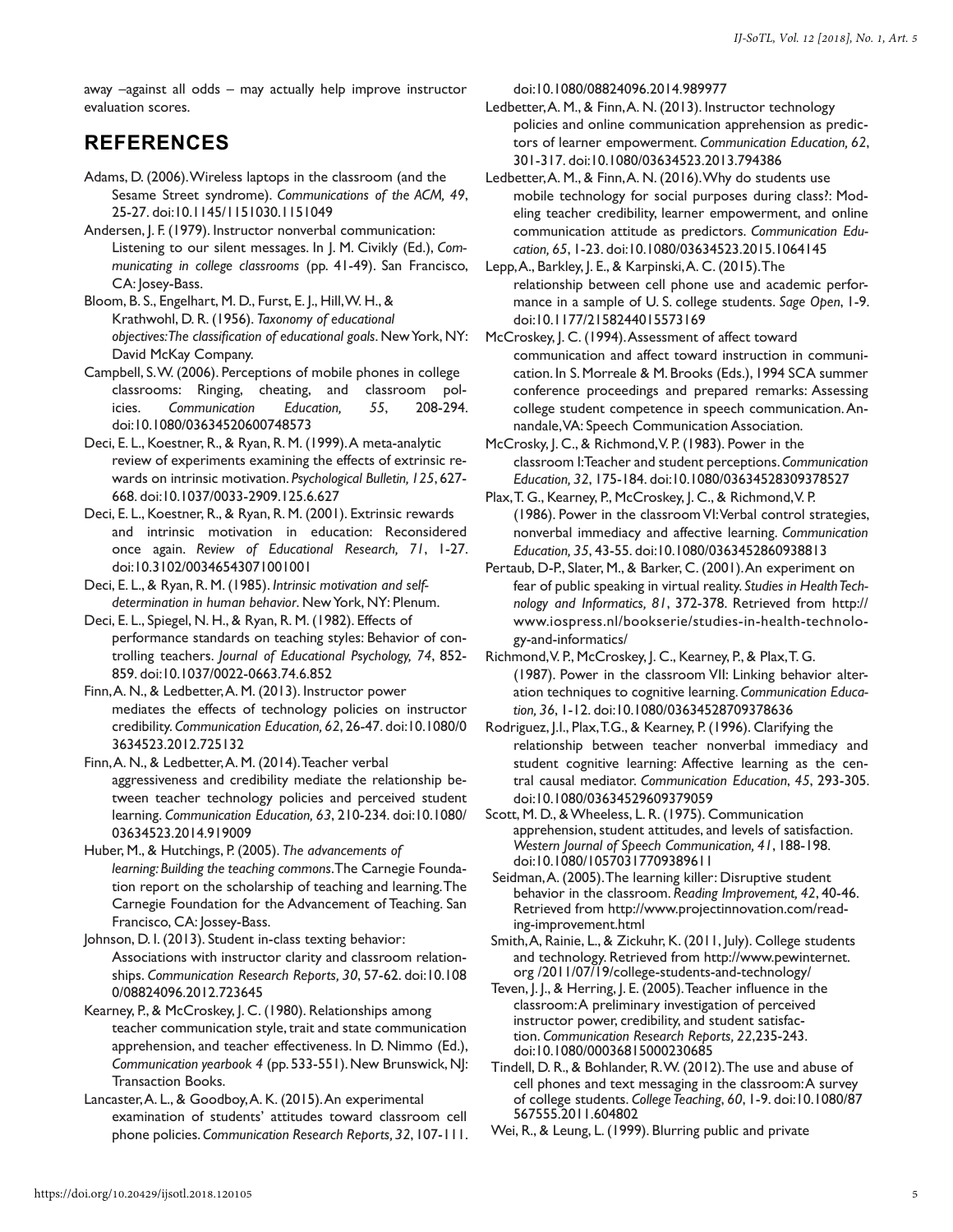away –against all odds – may actually help improve instructor evaluation scores.

# **REFERENCES**

- Adams, D. (2006). Wireless laptops in the classroom (and the Sesame Street syndrome). *Communications of the ACM, 49*, 25-27. doi:10.1145/1151030.1151049
- Andersen, J. F. (1979). Instructor nonverbal communication: Listening to our silent messages. In J. M. Civikly (Ed.), *Communicating in college classrooms* (pp. 41-49). San Francisco, CA: Josey-Bass.
- Bloom, B. S., Engelhart, M. D., Furst, E. J., Hill, W. H., & Krathwohl, D. R. (1956). *Taxonomy of educational objectives:The classification of educational goals*. New York, NY: David McKay Company.
- Campbell, S. W. (2006). Perceptions of mobile phones in college classrooms: Ringing, cheating, and classroom policies. *Communication Education, 55*, 208-294. doi:10.1080/03634520600748573
- Deci, E. L., Koestner, R., & Ryan, R. M. (1999). A meta-analytic review of experiments examining the effects of extrinsic rewards on intrinsic motivation. *Psychological Bulletin, 125*, 627- 668. doi:10.1037/0033-2909.125.6.627
- Deci, E. L., Koestner, R., & Ryan, R. M. (2001). Extrinsic rewards and intrinsic motivation in education: Reconsidered once again. *Review of Educational Research, 71*, 1-27. doi:10.3102/00346543071001001
- Deci, E. L., & Ryan, R. M. (1985). *Intrinsic motivation and selfdetermination in human behavior*. New York, NY: Plenum.
- Deci, E. L., Spiegel, N. H., & Ryan, R. M. (1982). Effects of performance standards on teaching styles: Behavior of controlling teachers. *Journal of Educational Psychology, 74*, 852- 859. doi:10.1037/0022-0663.74.6.852
- Finn, A. N., & Ledbetter, A. M. (2013). Instructor power mediates the effects of technology policies on instructor credibility. *Communication Education, 62*, 26-47. doi:10.1080/0 3634523.2012.725132
- Finn, A. N., & Ledbetter, A. M. (2014). Teacher verbal aggressiveness and credibility mediate the relationship between teacher technology policies and perceived student learning. *Communication Education, 63*, 210-234. doi:10.1080/ 03634523.2014.919009
- Huber, M., & Hutchings, P. (2005). *The advancements of learning: Building the teaching commons*. The Carnegie Foundation report on the scholarship of teaching and learning. The Carnegie Foundation for the Advancement of Teaching. San Francisco, CA: Jossey-Bass.
- Johnson, D. I. (2013). Student in-class texting behavior: Associations with instructor clarity and classroom relationships. *Communication Research Reports, 30*, 57-62. doi:10.108 0/08824096.2012.723645
- Kearney, P., & McCroskey, J. C. (1980). Relationships among teacher communication style, trait and state communication apprehension, and teacher effectiveness. In D. Nimmo (Ed.), *Communication yearbook 4* (pp. 533-551). New Brunswick, NJ: Transaction Books.
- Lancaster, A. L., & Goodboy, A. K. (2015). An experimental examination of students' attitudes toward classroom cell phone policies. *Communication Research Reports, 32*, 107-111.

doi:10.1080/08824096.2014.989977

- Ledbetter, A. M., & Finn, A. N. (2013). Instructor technology policies and online communication apprehension as predictors of learner empowerment. *Communication Education, 62*, 301-317. doi:10.1080/03634523.2013.794386
- Ledbetter, A. M., & Finn, A. N. (2016). Why do students use mobile technology for social purposes during class?: Modeling teacher credibility, learner empowerment, and online communication attitude as predictors. *Communication Education, 65*, 1-23. doi:10.1080/03634523.2015.1064145
- Lepp, A., Barkley, J. E., & Karpinski, A. C. (2015). The relationship between cell phone use and academic performance in a sample of U. S. college students. *Sage Open*, 1-9. doi:10.1177/2158244015573169
- McCroskey, J. C. (1994). Assessment of affect toward communication and affect toward instruction in communication. In S. Morreale & M. Brooks (Eds.), 1994 SCA summer conference proceedings and prepared remarks: Assessing college student competence in speech communication. Annandale, VA: Speech Communication Association.
- McCrosky, J. C., & Richmond, V. P. (1983). Power in the classroom I: Teacher and student perceptions. *Communication Education, 32*, 175-184. doi:10.1080/03634528309378527
- Plax, T. G., Kearney, P., McCroskey, J. C., & Richmond, V. P. (1986). Power in the classroom VI: Verbal control strategies, nonverbal immediacy and affective learning. *Communication Education, 35*, 43-55. doi:10.1080/0363452860938813
- Pertaub, D-P., Slater, M., & Barker, C. (2001). An experiment on fear of public speaking in virtual reality. *Studies in Health Technology and Informatics, 81*, 372-378. Retrieved from http:// www.iospress.nl/bookserie/studies-in-health-technology-and-informatics/
- Richmond, V. P., McCroskey, J. C., Kearney, P., & Plax, T. G. (1987). Power in the classroom VII: Linking behavior alteration techniques to cognitive learning. *Communication Education, 36*, 1-12. doi:10.1080/03634528709378636
- Rodriguez, J.I., Plax, T.G., & Kearney, P. (1996). Clarifying the relationship between teacher nonverbal immediacy and student cognitive learning: Affective learning as the central causal mediator. *Communication Education*, *45*, 293-305. doi:10.1080/03634529609379059
- Scott, M. D., & Wheeless, L. R. (1975). Communication apprehension, student attitudes, and levels of satisfaction. *Western Journal of Speech Communication, 41*, 188-198. doi:10.1080/10570317709389611
- Seidman, A. (2005). The learning killer: Disruptive student behavior in the classroom. *Reading Improvement, 42*, 40-46. Retrieved from http://www.projectinnovation.com/reading-improvement.html
- Smith, A, Rainie, L., & Zickuhr, K. (2011, July). College students and technology. Retrieved from http://www.pewinternet. org /2011/07/19/college-students-and-technology/
- Teven, J. J., & Herring, J. E. (2005). Teacher influence in the classroom: A preliminary investigation of perceived instructor power, credibility, and student satisfaction. *Communication Research Reports, 22*,235-243. doi:10.1080/00036815000230685
- Tindell, D. R., & Bohlander, R. W. (2012). The use and abuse of cell phones and text messaging in the classroom: A survey of college students. *College Teaching*, *60*, 1-9. doi:10.1080/87 567555.2011.604802
- Wei, R., & Leung, L. (1999). Blurring public and private